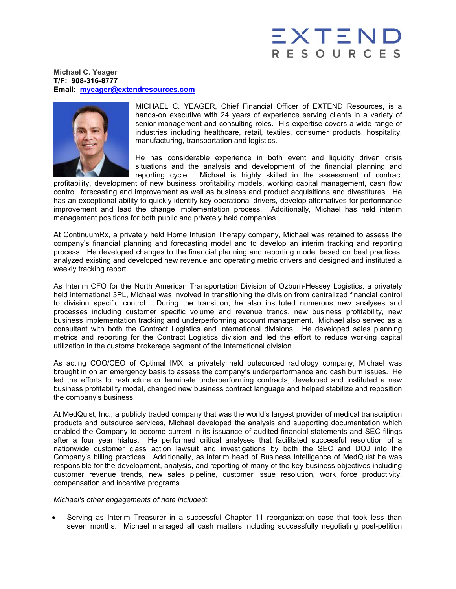## EXTEN RESOURCES

**Michael C. Yeager T/F: 908-316-8777 Email: myeager@extendresources.com**



MICHAEL C. YEAGER, Chief Financial Officer of EXTEND Resources, is a hands-on executive with 24 years of experience serving clients in a variety of senior management and consulting roles. His expertise covers a wide range of industries including healthcare, retail, textiles, consumer products, hospitality, manufacturing, transportation and logistics.

He has considerable experience in both event and liquidity driven crisis situations and the analysis and development of the financial planning and reporting cycle. Michael is highly skilled in the assessment of contract

profitability, development of new business profitability models, working capital management, cash flow control, forecasting and improvement as well as business and product acquisitions and divestitures. He has an exceptional ability to quickly identify key operational drivers, develop alternatives for performance improvement and lead the change implementation process. Additionally, Michael has held interim management positions for both public and privately held companies.

At ContinuumRx, a privately held Home Infusion Therapy company, Michael was retained to assess the company's financial planning and forecasting model and to develop an interim tracking and reporting process. He developed changes to the financial planning and reporting model based on best practices, analyzed existing and developed new revenue and operating metric drivers and designed and instituted a weekly tracking report.

As Interim CFO for the North American Transportation Division of Ozburn-Hessey Logistics, a privately held international 3PL, Michael was involved in transitioning the division from centralized financial control to division specific control. During the transition, he also instituted numerous new analyses and processes including customer specific volume and revenue trends, new business profitability, new business implementation tracking and underperforming account management. Michael also served as a consultant with both the Contract Logistics and International divisions. He developed sales planning metrics and reporting for the Contract Logistics division and led the effort to reduce working capital utilization in the customs brokerage segment of the International division.

As acting COO/CEO of Optimal IMX, a privately held outsourced radiology company, Michael was brought in on an emergency basis to assess the company's underperformance and cash burn issues. He led the efforts to restructure or terminate underperforming contracts, developed and instituted a new business profitability model, changed new business contract language and helped stabilize and reposition the company's business.

At MedQuist, Inc., a publicly traded company that was the world's largest provider of medical transcription products and outsource services, Michael developed the analysis and supporting documentation which enabled the Company to become current in its issuance of audited financial statements and SEC filings after a four year hiatus. He performed critical analyses that facilitated successful resolution of a nationwide customer class action lawsuit and investigations by both the SEC and DOJ into the Company's billing practices. Additionally, as interim head of Business Intelligence of MedQuist he was responsible for the development, analysis, and reporting of many of the key business objectives including customer revenue trends, new sales pipeline, customer issue resolution, work force productivity, compensation and incentive programs.

## *Michael's other engagements of note included:*

• Serving as Interim Treasurer in a successful Chapter 11 reorganization case that took less than seven months. Michael managed all cash matters including successfully negotiating post-petition